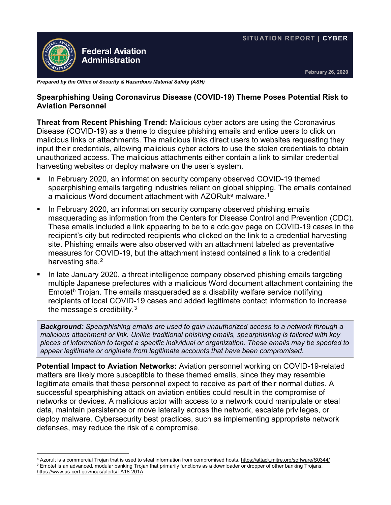

**February 26, 2020**

*Prepared by the Office of Security & Hazardous Material Safety (ASH)*

## **Spearphishing Using Coronavirus Disease (COVID-19) Theme Poses Potential Risk to Aviation Personnel**

**Threat from Recent Phishing Trend:** Malicious cyber actors are using the Coronavirus Disease (COVID-19) as a theme to disguise phishing emails and entice users to click on malicious links or attachments. The malicious links direct users to websites requesting they input their credentials, allowing malicious cyber actors to use the stolen credentials to obtain unauthorized access. The malicious attachments either contain a link to similar credential harvesting websites or deploy malware on the user's system.

- **IFM** In February 2020, an information security company observed COVID-19 themed spearphishing emails targeting industries reliant on global shipping. The emails contained [a](#page-0-0) malicious Word document attachment with AZORult<sup>a</sup> malware.<sup>[1](#page-1-0)</sup>
- In February 2020, an information security company observed phishing emails masquerading as information from the Centers for Disease Control and Prevention (CDC). These emails included a link appearing to be to a cdc.gov page on COVID-19 cases in the recipient's city but redirected recipients who clicked on the link to a credential harvesting site. Phishing emails were also observed with an attachment labeled as preventative measures for COVID-19, but the attachment instead contained a link to a credential harvesting site.<sup>[2](#page-1-1)</sup>
- In late January 2020, a threat intelligence company observed phishing emails targeting multiple Japanese prefectures with a malicious Word document attachment containing the Emotet<sup>[b](#page-0-1)</sup> Trojan. The emails masqueraded as a disability welfare service notifying recipients of local COVID-19 cases and added legitimate contact information to increase the message's credibility. $3$

*Background: Spearphishing emails are used to gain unauthorized access to a network through a malicious attachment or link. Unlike traditional phishing emails, spearphishing is tailored with key pieces of information to target a specific individual or organization. These emails may be spoofed to appear legitimate or originate from legitimate accounts that have been compromised.*

**Potential Impact to Aviation Networks:** Aviation personnel working on COVID-19-related matters are likely more susceptible to these themed emails, since they may resemble legitimate emails that these personnel expect to receive as part of their normal duties. A successful spearphishing attack on aviation entities could result in the compromise of networks or devices. A malicious actor with access to a network could manipulate or steal data, maintain persistence or move laterally across the network, escalate privileges, or deploy malware. Cybersecurity best practices, such as implementing appropriate network defenses, may reduce the risk of a compromise.

<span id="page-0-1"></span>**b Emotet is an advanced, modular banking Trojan that primarily functions as a downloader or dropper of other banking Trojans.** <https://www.us-cert.gov/ncas/alerts/TA18-201A>

<span id="page-0-0"></span> $\overline{a}$ a Azorult is a commercial Trojan that is used to steal information from compromised hosts[. https://attack.mitre.org/software/S0344/](https://attack.mitre.org/software/S0344/)